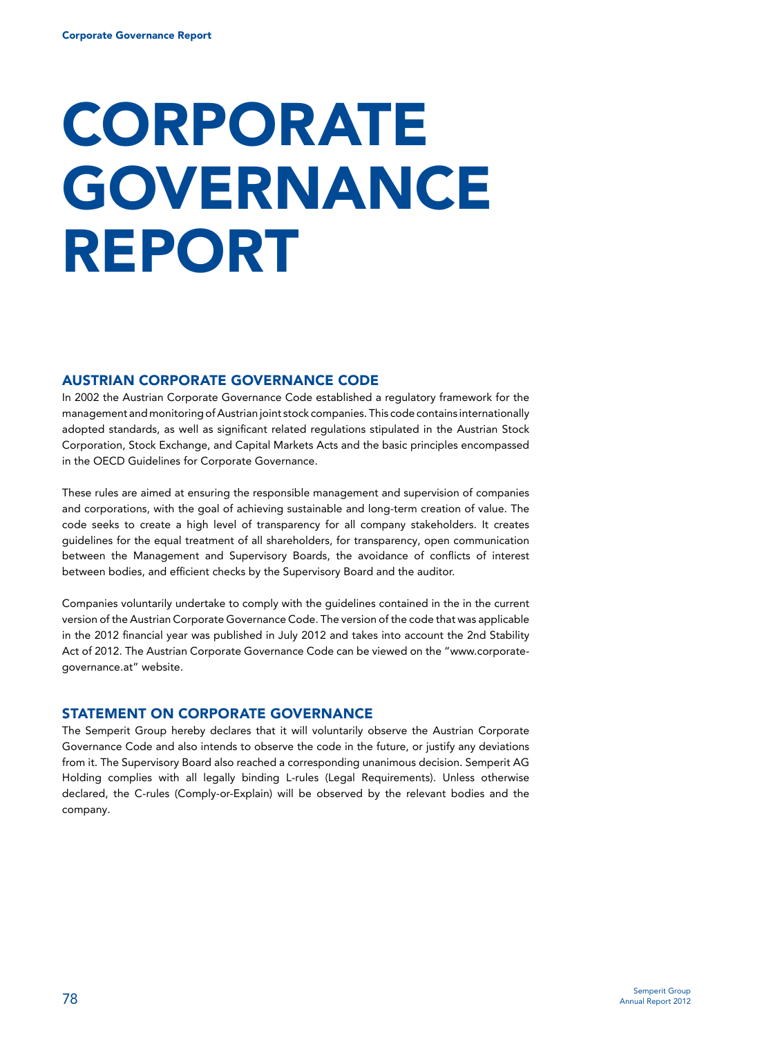# **CORPORATE GOVERNANCE** Report

## Austrian Corporate Governance Code

In 2002 the Austrian Corporate Governance Code established a regulatory framework for the management and monitoring of Austrian joint stock companies. This code contains internationally adopted standards, as well as significant related regulations stipulated in the Austrian Stock Corporation, Stock Exchange, and Capital Markets Acts and the basic principles encompassed in the OECD Guidelines for Corporate Governance.

These rules are aimed at ensuring the responsible management and supervision of companies and corporations, with the goal of achieving sustainable and long-term creation of value. The code seeks to create a high level of transparency for all company stakeholders. It creates guidelines for the equal treatment of all shareholders, for transparency, open communication between the Management and Supervisory Boards, the avoidance of conflicts of interest between bodies, and efficient checks by the Supervisory Board and the auditor.

Companies voluntarily undertake to comply with the guidelines contained in the in the current version of the Austrian Corporate Governance Code. The version of the code that was applicable in the 2012 financial year was published in July 2012 and takes into account the 2nd Stability Act of 2012. The Austrian Corporate Governance Code can be viewed on the "www.corporategovernance.at" website.

### Statement on corporate governance

The Semperit Group hereby declares that it will voluntarily observe the Austrian Corporate Governance Code and also intends to observe the code in the future, or justify any deviations from it. The Supervisory Board also reached a corresponding unanimous decision. Semperit AG Holding complies with all legally binding L-rules (Legal Requirements). Unless otherwise declared, the C-rules (Comply-or-Explain) will be observed by the relevant bodies and the company.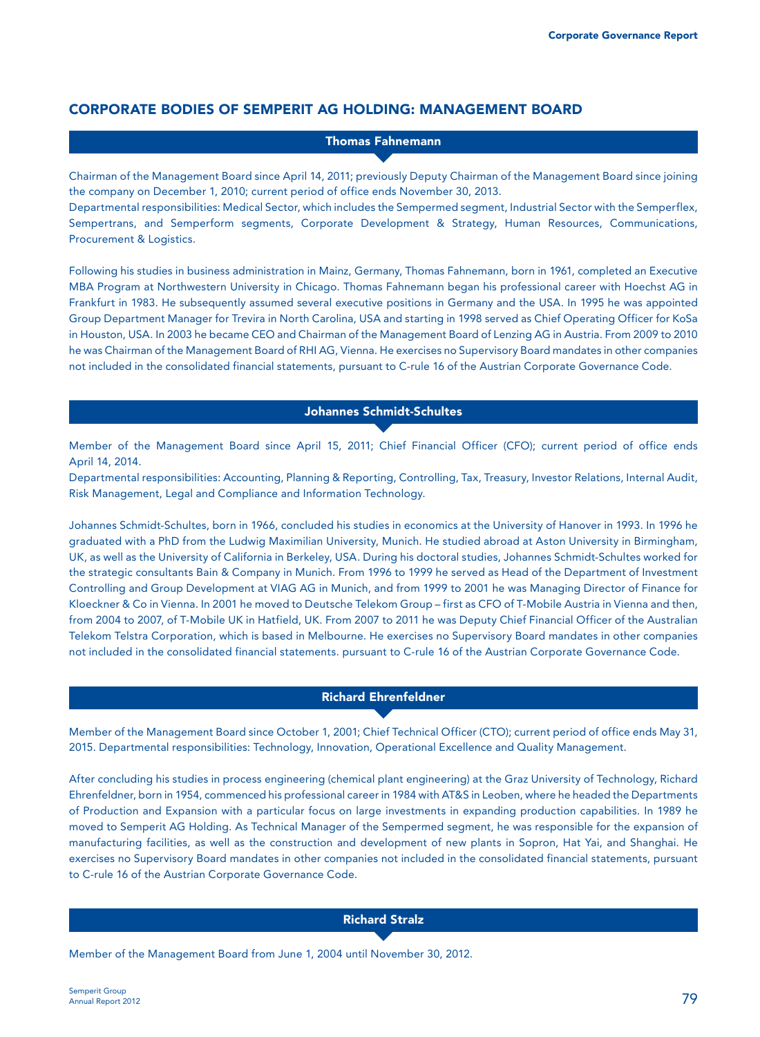# Corporate bodies of Semperit AG Holding: Management Board

Thomas Fahnemann

Chairman of the Management Board since April 14, 2011; previously Deputy Chairman of the Management Board since joining the company on December 1, 2010; current period of office ends November 30, 2013.

Departmental responsibilities: Medical Sector, which includes the Sempermed segment, Industrial Sector with the Semperflex, Sempertrans, and Semperform segments, Corporate Development & Strategy, Human Resources, Communications, Procurement & Logistics.

Following his studies in business administration in Mainz, Germany, Thomas Fahnemann, born in 1961, completed an Executive MBA Program at Northwestern University in Chicago. Thomas Fahnemann began his professional career with Hoechst AG in Frankfurt in 1983. He subsequently assumed several executive positions in Germany and the USA. In 1995 he was appointed Group Department Manager for Trevira in North Carolina, USA and starting in 1998 served as Chief Operating Officer for KoSa in Houston, USA. In 2003 he became CEO and Chairman of the Management Board of Lenzing AG in Austria. From 2009 to 2010 he was Chairman of the Management Board of RHI AG, Vienna. He exercises no Supervisory Board mandates in other companies not included in the consolidated financial statements, pursuant to C-rule 16 of the Austrian Corporate Governance Code.

#### Johannes Schmidt-Schultes

Member of the Management Board since April 15, 2011; Chief Financial Officer (CFO); current period of office ends April 14, 2014.

Departmental responsibilities: Accounting, Planning & Reporting, Controlling, Tax, Treasury, Investor Relations, Internal Audit, Risk Management, Legal and Compliance and Information Technology.

Johannes Schmidt-Schultes, born in 1966, concluded his studies in economics at the University of Hanover in 1993. In 1996 he graduated with a PhD from the Ludwig Maximilian University, Munich. He studied abroad at Aston University in Birmingham, UK, as well as the University of California in Berkeley, USA. During his doctoral studies, Johannes Schmidt-Schultes worked for the strategic consultants Bain & Company in Munich. From 1996 to 1999 he served as Head of the Department of Investment Controlling and Group Development at VIAG AG in Munich, and from 1999 to 2001 he was Managing Director of Finance for Kloeckner & Co in Vienna. In 2001 he moved to Deutsche Telekom Group – first as CFO of T-Mobile Austria in Vienna and then, from 2004 to 2007, of T-Mobile UK in Hatfield, UK. From 2007 to 2011 he was Deputy Chief Financial Officer of the Australian Telekom Telstra Corporation, which is based in Melbourne. He exercises no Supervisory Board mandates in other companies not included in the consolidated financial statements. pursuant to C-rule 16 of the Austrian Corporate Governance Code.

## Richard Ehrenfeldner

Member of the Management Board since October 1, 2001; Chief Technical Officer (CTO); current period of office ends May 31, 2015. Departmental responsibilities: Technology, Innovation, Operational Excellence and Quality Management.

After concluding his studies in process engineering (chemical plant engineering) at the Graz University of Technology, Richard Ehrenfeldner, born in 1954, commenced his professional career in 1984 with AT&S in Leoben, where he headed the Departments of Production and Expansion with a particular focus on large investments in expanding production capabilities. In 1989 he moved to Semperit AG Holding. As Technical Manager of the Sempermed segment, he was responsible for the expansion of manufacturing facilities, as well as the construction and development of new plants in Sopron, Hat Yai, and Shanghai. He exercises no Supervisory Board mandates in other companies not included in the consolidated financial statements, pursuant to C-rule 16 of the Austrian Corporate Governance Code.

Richard Stralz

Member of the Management Board from June 1, 2004 until November 30, 2012.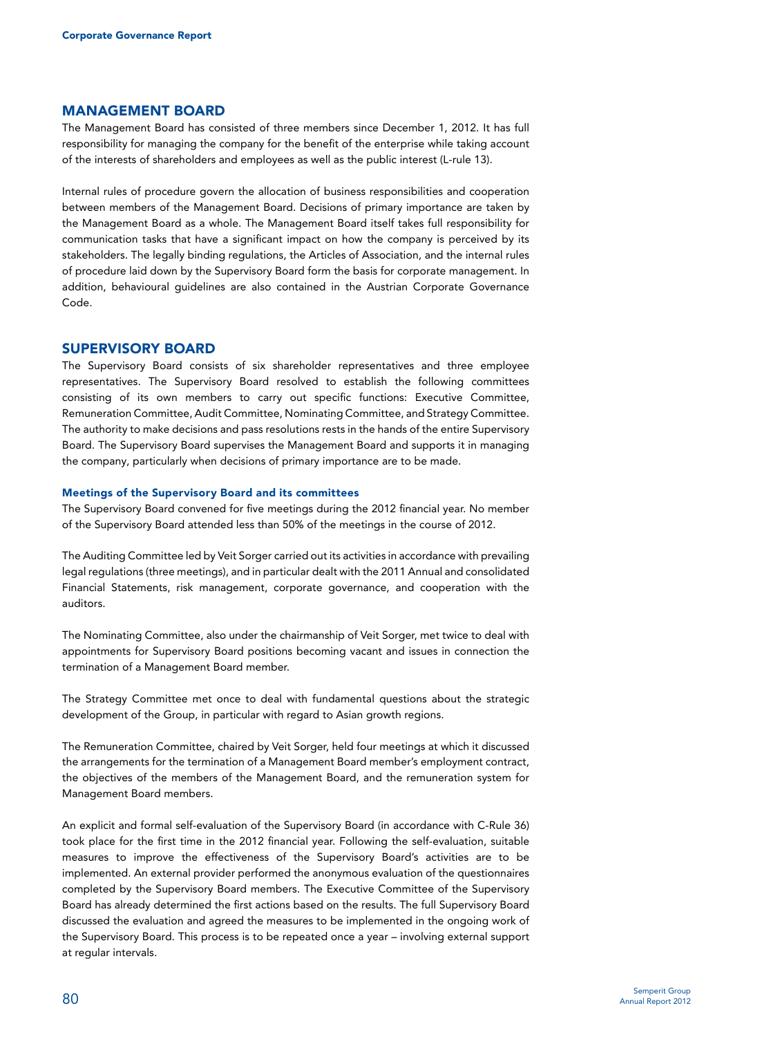#### Management Board

The Management Board has consisted of three members since December 1, 2012. It has full responsibility for managing the company for the benefit of the enterprise while taking account of the interests of shareholders and employees as well as the public interest (L-rule 13).

Internal rules of procedure govern the allocation of business responsibilities and cooperation between members of the Management Board. Decisions of primary importance are taken by the Management Board as a whole. The Management Board itself takes full responsibility for communication tasks that have a significant impact on how the company is perceived by its stakeholders. The legally binding regulations, the Articles of Association, and the internal rules of procedure laid down by the Supervisory Board form the basis for corporate management. In addition, behavioural guidelines are also contained in the Austrian Corporate Governance Code.

#### Supervisory Board

The Supervisory Board consists of six shareholder representatives and three employee representatives. The Supervisory Board resolved to establish the following committees consisting of its own members to carry out specific functions: Executive Committee, Remuneration Committee, Audit Committee, Nominating Committee, and Strategy Committee. The authority to make decisions and pass resolutions rests in the hands of the entire Supervisory Board. The Supervisory Board supervises the Management Board and supports it in managing the company, particularly when decisions of primary importance are to be made.

#### Meetings of the Supervisory Board and its committees

The Supervisory Board convened for five meetings during the 2012 financial year. No member of the Supervisory Board attended less than 50% of the meetings in the course of 2012.

The Auditing Committee led by Veit Sorger carried out its activities in accordance with prevailing legal regulations (three meetings), and in particular dealt with the 2011 Annual and consolidated Financial Statements, risk management, corporate governance, and cooperation with the auditors.

The Nominating Committee, also under the chairmanship of Veit Sorger, met twice to deal with appointments for Supervisory Board positions becoming vacant and issues in connection the termination of a Management Board member.

The Strategy Committee met once to deal with fundamental questions about the strategic development of the Group, in particular with regard to Asian growth regions.

The Remuneration Committee, chaired by Veit Sorger, held four meetings at which it discussed the arrangements for the termination of a Management Board member's employment contract, the objectives of the members of the Management Board, and the remuneration system for Management Board members.

An explicit and formal self-evaluation of the Supervisory Board (in accordance with C-Rule 36) took place for the first time in the 2012 financial year. Following the self-evaluation, suitable measures to improve the effectiveness of the Supervisory Board's activities are to be implemented. An external provider performed the anonymous evaluation of the questionnaires completed by the Supervisory Board members. The Executive Committee of the Supervisory Board has already determined the first actions based on the results. The full Supervisory Board discussed the evaluation and agreed the measures to be implemented in the ongoing work of the Supervisory Board. This process is to be repeated once a year – involving external support at regular intervals.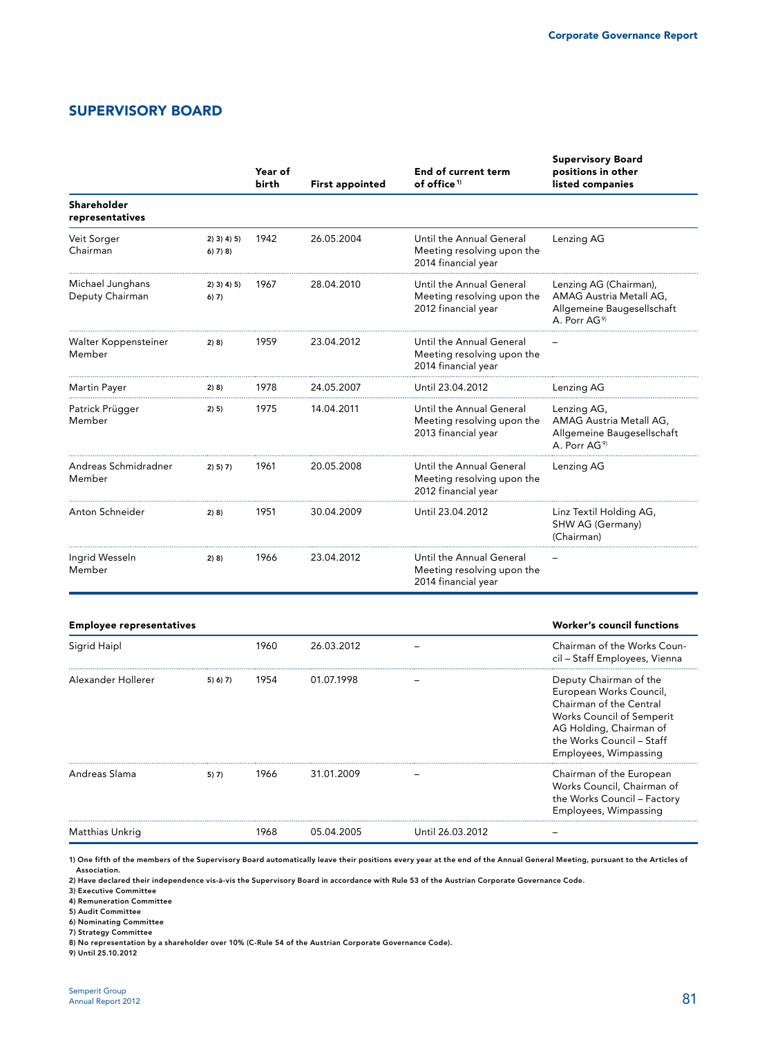## Supervisory board

|                                     |                           | Year of<br>birth | <b>First appointed</b> | End of current term<br>of office <sup>1)</sup>                                | <b>Supervisory Board</b><br>positions in other<br>listed companies                                                                                                                         |  |
|-------------------------------------|---------------------------|------------------|------------------------|-------------------------------------------------------------------------------|--------------------------------------------------------------------------------------------------------------------------------------------------------------------------------------------|--|
| Shareholder<br>representatives      |                           |                  |                        |                                                                               |                                                                                                                                                                                            |  |
| Veit Sorger<br>Chairman             | $2)$ 3) 4) 5)<br>6) 7) 8) | 1942             | 26.05.2004             | Until the Annual General<br>Meeting resolving upon the<br>2014 financial year | Lenzing AG                                                                                                                                                                                 |  |
| Michael Junghans<br>Deputy Chairman | $2)$ 3) 4) 5)<br>$6)$ 7)  | 1967             | 28.04.2010             | Until the Annual General<br>Meeting resolving upon the<br>2012 financial year | Lenzing AG (Chairman),<br>AMAG Austria Metall AG,<br>Allgemeine Baugesellschaft<br>A. Porr AG <sup>9)</sup>                                                                                |  |
| Walter Koppensteiner<br>Member      | 2) 8)                     | 1959             | 23.04.2012             | Until the Annual General<br>Meeting resolving upon the<br>2014 financial year |                                                                                                                                                                                            |  |
| Martin Payer                        | 2) 8)                     | 1978             | 24.05.2007             | Until 23.04.2012                                                              | Lenzing AG                                                                                                                                                                                 |  |
| Patrick Prügger<br>Member           | 2) 5)                     | 1975             | 14.04.2011             | Until the Annual General<br>Meeting resolving upon the<br>2013 financial year | Lenzing AG,<br>AMAG Austria Metall AG,<br>Allgemeine Baugesellschaft<br>A. Porr AG <sup>9)</sup>                                                                                           |  |
| Andreas Schmidradner<br>Member      | 2) 5) 7)                  | 1961             | 20.05.2008             | Until the Annual General<br>Meeting resolving upon the<br>2012 financial year | Lenzing AG                                                                                                                                                                                 |  |
| Anton Schneider                     | 2) 8)                     | 1951             | 30.04.2009             | Until 23.04.2012                                                              | Linz Textil Holding AG,<br>SHW AG (Germany)<br>(Chairman)                                                                                                                                  |  |
| Ingrid Wesseln<br>Member            | 2) 8)                     | 1966             | 23.04.2012             | Until the Annual General<br>Meeting resolving upon the<br>2014 financial year |                                                                                                                                                                                            |  |
| <b>Employee representatives</b>     |                           |                  |                        |                                                                               | <b>Worker's council functions</b>                                                                                                                                                          |  |
| Sigrid Haipl                        |                           | 1960             | 26.03.2012             |                                                                               | Chairman of the Works Coun-<br>cil - Staff Employees, Vienna                                                                                                                               |  |
| Alexander Hollerer                  | 5) 6) 7)                  | 1954             | 01.07.1998             |                                                                               | Deputy Chairman of the<br>European Works Council,<br>Chairman of the Central<br>Works Council of Semperit<br>AG Holding, Chairman of<br>the Works Council - Staff<br>Employees, Wimpassing |  |
| Andreas Slama                       | 5) 7)                     | 1966             | 31.01.2009             |                                                                               | Chairman of the European<br>Works Council, Chairman of<br>the Works Council - Factory<br>Employees, Wimpassing                                                                             |  |

1) One fifth of the members of the Supervisory Board automatically leave their positions every year at the end of the Annual General Meeting, pursuant to the Articles of Association.

2) Have declared their independence vis-à-vis the Supervisory Board in accordance with Rule 53 of the Austrian Corporate Governance Code.

Matthias Unkrig 1968 05.04.2005 Until 26.03.2012 –

3) Executive Committee

4) Remuneration Committee

5) Audit Committee

6) Nominating Committee

7) Strategy Committee

8) No representation by a shareholder over 10% (C-Rule 54 of the Austrian Corporate Governance Code).

9) Until 25.10.2012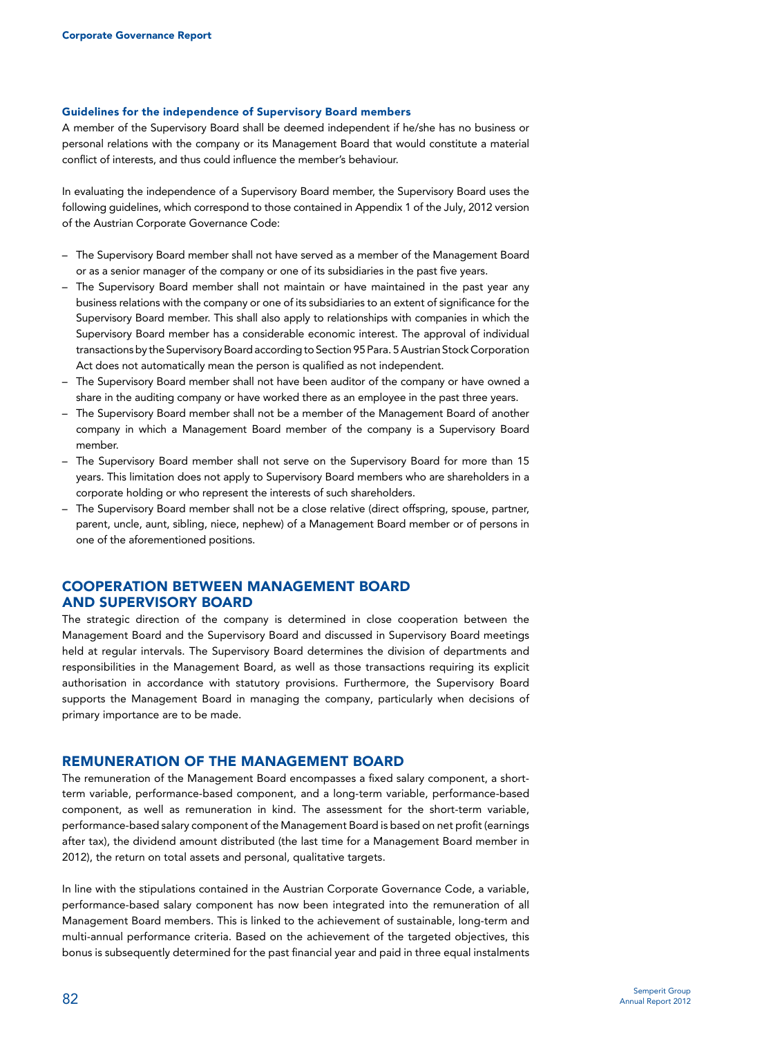#### Guidelines for the independence of Supervisory Board members

A member of the Supervisory Board shall be deemed independent if he/she has no business or personal relations with the company or its Management Board that would constitute a material conflict of interests, and thus could influence the member's behaviour.

In evaluating the independence of a Supervisory Board member, the Supervisory Board uses the following guidelines, which correspond to those contained in Appendix 1 of the July, 2012 version of the Austrian Corporate Governance Code:

- The Supervisory Board member shall not have served as a member of the Management Board or as a senior manager of the company or one of its subsidiaries in the past five years.
- The Supervisory Board member shall not maintain or have maintained in the past year any business relations with the company or one of its subsidiaries to an extent of significance for the Supervisory Board member. This shall also apply to relationships with companies in which the Supervisory Board member has a considerable economic interest. The approval of individual transactions by the Supervisory Board according to Section 95 Para. 5 Austrian Stock Corporation Act does not automatically mean the person is qualified as not independent.
- The Supervisory Board member shall not have been auditor of the company or have owned a share in the auditing company or have worked there as an employee in the past three years.
- The Supervisory Board member shall not be a member of the Management Board of another company in which a Management Board member of the company is a Supervisory Board member.
- The Supervisory Board member shall not serve on the Supervisory Board for more than 15 years. This limitation does not apply to Supervisory Board members who are shareholders in a corporate holding or who represent the interests of such shareholders.
- The Supervisory Board member shall not be a close relative (direct offspring, spouse, partner, parent, uncle, aunt, sibling, niece, nephew) of a Management Board member or of persons in one of the aforementioned positions.

### Cooperation between Management Board and Supervisory Board

The strategic direction of the company is determined in close cooperation between the Management Board and the Supervisory Board and discussed in Supervisory Board meetings held at regular intervals. The Supervisory Board determines the division of departments and responsibilities in the Management Board, as well as those transactions requiring its explicit authorisation in accordance with statutory provisions. Furthermore, the Supervisory Board supports the Management Board in managing the company, particularly when decisions of primary importance are to be made.

#### Remuneration of the Management Board

The remuneration of the Management Board encompasses a fixed salary component, a shortterm variable, performance-based component, and a long-term variable, performance-based component, as well as remuneration in kind. The assessment for the short-term variable, performance-based salary component of the Management Board is based on net profit (earnings after tax), the dividend amount distributed (the last time for a Management Board member in 2012), the return on total assets and personal, qualitative targets.

In line with the stipulations contained in the Austrian Corporate Governance Code, a variable, performance-based salary component has now been integrated into the remuneration of all Management Board members. This is linked to the achievement of sustainable, long-term and multi-annual performance criteria. Based on the achievement of the targeted objectives, this bonus is subsequently determined for the past financial year and paid in three equal instalments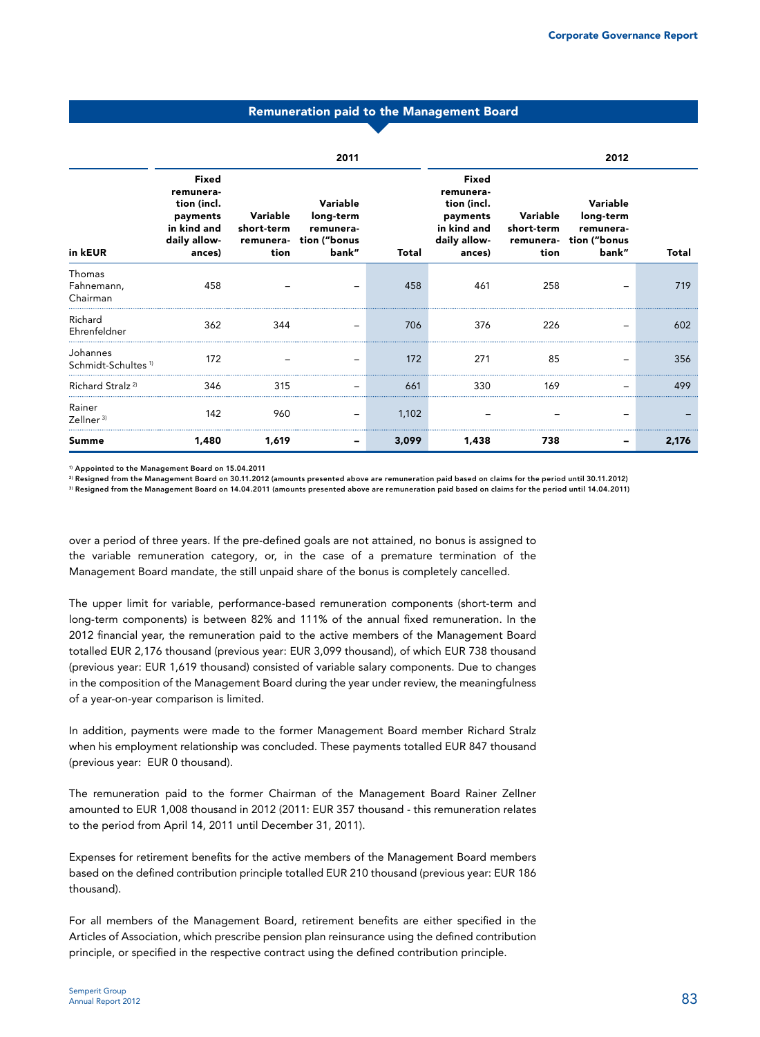#### Remuneration paid to the Management Board

|                                            | 2011                                                                                   |                                             |                                                             | 2012  |                                                                                        |                                             |                                                             |       |
|--------------------------------------------|----------------------------------------------------------------------------------------|---------------------------------------------|-------------------------------------------------------------|-------|----------------------------------------------------------------------------------------|---------------------------------------------|-------------------------------------------------------------|-------|
| in kEUR                                    | Fixed<br>remunera-<br>tion (incl.<br>payments<br>in kind and<br>daily allow-<br>ances) | Variable<br>short-term<br>remunera-<br>tion | Variable<br>long-term<br>remunera-<br>tion ("bonus<br>bank" | Total | Fixed<br>remunera-<br>tion (incl.<br>payments<br>in kind and<br>daily allow-<br>ances) | Variable<br>short-term<br>remunera-<br>tion | Variable<br>long-term<br>remunera-<br>tion ("bonus<br>bank" | Total |
| Thomas<br>Fahnemann,<br>Chairman           | 458                                                                                    |                                             |                                                             | 458   | 461                                                                                    | 258                                         |                                                             | 719   |
| Richard<br>Ehrenfeldner                    | 362                                                                                    | 344                                         |                                                             | 706   | 376                                                                                    | 226                                         |                                                             | 602   |
| Johannes<br>Schmidt-Schultes <sup>1)</sup> | 172                                                                                    |                                             |                                                             | 172   | 271                                                                                    | 85                                          |                                                             | 356   |
| Richard Stralz <sup>2)</sup>               | 346                                                                                    | 315                                         |                                                             | 661   | 330                                                                                    | 169                                         |                                                             | 499   |
| Rainer<br>Zellner $3$                      | 142                                                                                    | 960                                         |                                                             | 1,102 |                                                                                        |                                             |                                                             |       |
| <b>Summe</b>                               | 1,480                                                                                  | 1,619                                       |                                                             | 3,099 | 1,438                                                                                  | 738                                         |                                                             | 2,176 |

1) Appointed to the Management Board on 15.04.2011

2) Resigned from the Management Board on 30.11.2012 (amounts presented above are remuneration paid based on claims for the period until 30.11.2012)

3) Resigned from the Management Board on 14.04.2011 (amounts presented above are remuneration paid based on claims for the period until 14.04.2011)

over a period of three years. If the pre-defined goals are not attained, no bonus is assigned to the variable remuneration category, or, in the case of a premature termination of the Management Board mandate, the still unpaid share of the bonus is completely cancelled.

The upper limit for variable, performance-based remuneration components (short-term and long-term components) is between 82% and 111% of the annual fixed remuneration. In the 2012 financial year, the remuneration paid to the active members of the Management Board totalled EUR 2,176 thousand (previous year: EUR 3,099 thousand), of which EUR 738 thousand (previous year: EUR 1,619 thousand) consisted of variable salary components. Due to changes in the composition of the Management Board during the year under review, the meaningfulness of a year-on-year comparison is limited.

In addition, payments were made to the former Management Board member Richard Stralz when his employment relationship was concluded. These payments totalled EUR 847 thousand (previous year: EUR 0 thousand).

The remuneration paid to the former Chairman of the Management Board Rainer Zellner amounted to EUR 1,008 thousand in 2012 (2011: EUR 357 thousand - this remuneration relates to the period from April 14, 2011 until December 31, 2011).

Expenses for retirement benefits for the active members of the Management Board members based on the defined contribution principle totalled EUR 210 thousand (previous year: EUR 186 thousand).

For all members of the Management Board, retirement benefits are either specified in the Articles of Association, which prescribe pension plan reinsurance using the defined contribution principle, or specified in the respective contract using the defined contribution principle.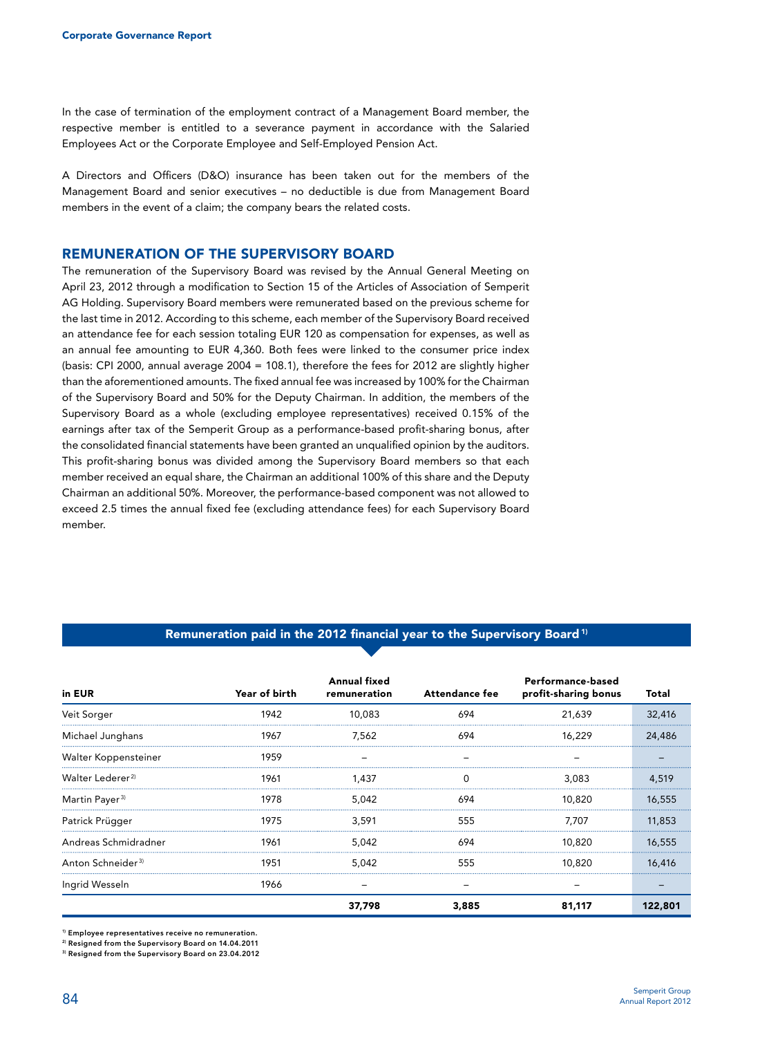In the case of termination of the employment contract of a Management Board member, the respective member is entitled to a severance payment in accordance with the Salaried Employees Act or the Corporate Employee and Self-Employed Pension Act.

A Directors and Officers (D&O) insurance has been taken out for the members of the Management Board and senior executives – no deductible is due from Management Board members in the event of a claim; the company bears the related costs.

#### Remuneration of the Supervisory Board

The remuneration of the Supervisory Board was revised by the Annual General Meeting on April 23, 2012 through a modification to Section 15 of the Articles of Association of Semperit AG Holding. Supervisory Board members were remunerated based on the previous scheme for the last time in 2012. According to this scheme, each member of the Supervisory Board received an attendance fee for each session totaling EUR 120 as compensation for expenses, as well as an annual fee amounting to EUR 4,360. Both fees were linked to the consumer price index (basis: CPI 2000, annual average 2004 = 108.1), therefore the fees for 2012 are slightly higher than the aforementioned amounts. The fixed annual fee was increased by 100% for the Chairman of the Supervisory Board and 50% for the Deputy Chairman. In addition, the members of the Supervisory Board as a whole (excluding employee representatives) received 0.15% of the earnings after tax of the Semperit Group as a performance-based profit-sharing bonus, after the consolidated financial statements have been granted an unqualified opinion by the auditors. This profit-sharing bonus was divided among the Supervisory Board members so that each member received an equal share, the Chairman an additional 100% of this share and the Deputy Chairman an additional 50%. Moreover, the performance-based component was not allowed to exceed 2.5 times the annual fixed fee (excluding attendance fees) for each Supervisory Board member.

#### Remuneration paid in the 2012 financial year to the Supervisory Board<sup>1)</sup>

| in EUR                        | Year of birth | <b>Annual fixed</b><br>remuneration | <b>Attendance fee</b> | Performance-based<br>profit-sharing bonus | Total   |
|-------------------------------|---------------|-------------------------------------|-----------------------|-------------------------------------------|---------|
| Veit Sorger                   | 1942          | 10,083                              | 694                   | 21,639                                    | 32,416  |
| Michael Junghans              | 1967          | 7,562                               | 694                   | 16.229                                    | 24,486  |
| Walter Koppensteiner          | 1959          |                                     |                       |                                           |         |
| Walter Lederer <sup>2)</sup>  | 1961          | 1.437                               |                       | 3.083                                     | 4.519   |
| Martin Payer <sup>3)</sup>    | 1978          | 5.042                               | 694                   | 10.820                                    | 16.555  |
| Patrick Prügger               | 1975          | 3.591                               | 555                   | 7.707                                     | 11,853  |
| Andreas Schmidradner          | 1961          | 5.042                               | 694                   | 10.820                                    | 16,555  |
| Anton Schneider <sup>3)</sup> | 1951          | 5.042                               | 555                   | 10.820                                    | 16,416  |
| Ingrid Wesseln                | 1966          |                                     |                       |                                           |         |
|                               |               | 37.798                              | 3,885                 | 81.117                                    | 122,801 |

<sup>1)</sup> Employee representatives receive no remuneration.

2) Resigned from the Supervisory Board on 14.04.2011

3) Resigned from the Supervisory Board on 23.04.2012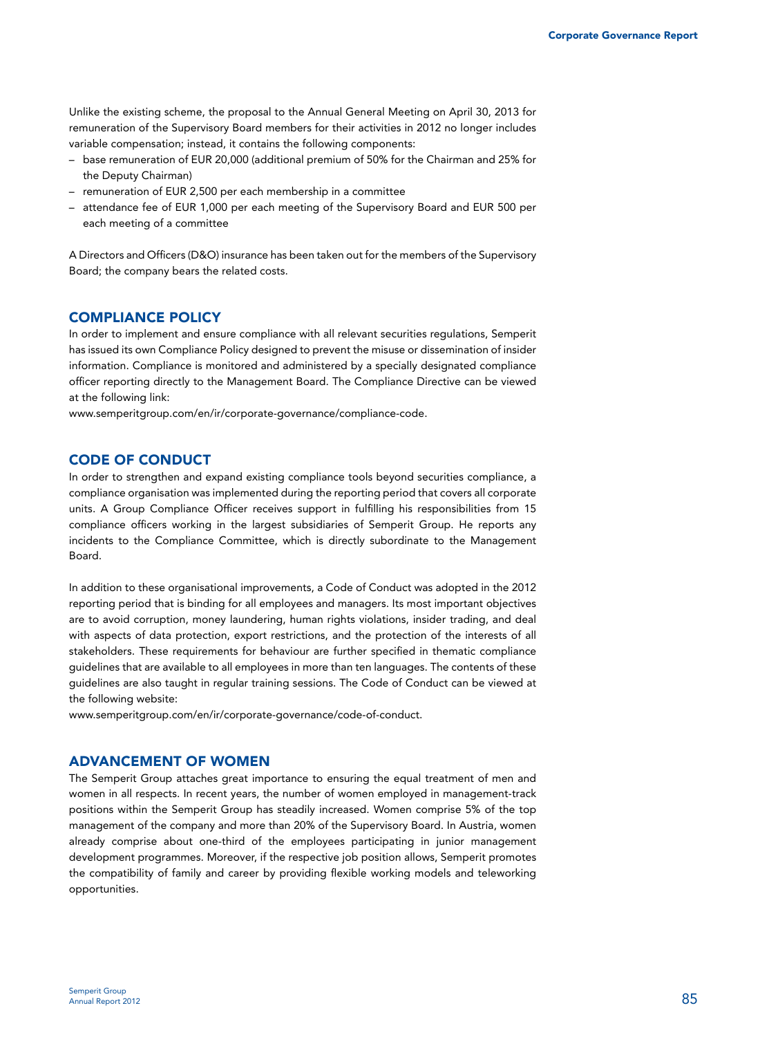Unlike the existing scheme, the proposal to the Annual General Meeting on April 30, 2013 for remuneration of the Supervisory Board members for their activities in 2012 no longer includes variable compensation; instead, it contains the following components:

- base remuneration of EUR 20,000 (additional premium of 50% for the Chairman and 25% for the Deputy Chairman)
- remuneration of EUR 2,500 per each membership in a committee
- attendance fee of EUR 1,000 per each meeting of the Supervisory Board and EUR 500 per each meeting of a committee

A Directors and Officers (D&O) insurance has been taken out for the members of the Supervisory Board; the company bears the related costs.

## Compliance Policy

In order to implement and ensure compliance with all relevant securities regulations, Semperit has issued its own Compliance Policy designed to prevent the misuse or dissemination of insider information. Compliance is monitored and administered by a specially designated compliance officer reporting directly to the Management Board. The Compliance Directive can be viewed at the following link:

www.semperitgroup.com/en/ir/corporate-governance/compliance-code.

### Code of Conduct

In order to strengthen and expand existing compliance tools beyond securities compliance, a compliance organisation was implemented during the reporting period that covers all corporate units. A Group Compliance Officer receives support in fulfilling his responsibilities from 15 compliance officers working in the largest subsidiaries of Semperit Group. He reports any incidents to the Compliance Committee, which is directly subordinate to the Management Board.

In addition to these organisational improvements, a Code of Conduct was adopted in the 2012 reporting period that is binding for all employees and managers. Its most important objectives are to avoid corruption, money laundering, human rights violations, insider trading, and deal with aspects of data protection, export restrictions, and the protection of the interests of all stakeholders. These requirements for behaviour are further specified in thematic compliance guidelines that are available to all employees in more than ten languages. The contents of these guidelines are also taught in regular training sessions. The Code of Conduct can be viewed at the following website:

www.semperitgroup.com/en/ir/corporate-governance/code-of-conduct.

#### Advancement of women

The Semperit Group attaches great importance to ensuring the equal treatment of men and women in all respects. In recent years, the number of women employed in management-track positions within the Semperit Group has steadily increased. Women comprise 5% of the top management of the company and more than 20% of the Supervisory Board. In Austria, women already comprise about one-third of the employees participating in junior management development programmes. Moreover, if the respective job position allows, Semperit promotes the compatibility of family and career by providing flexible working models and teleworking opportunities.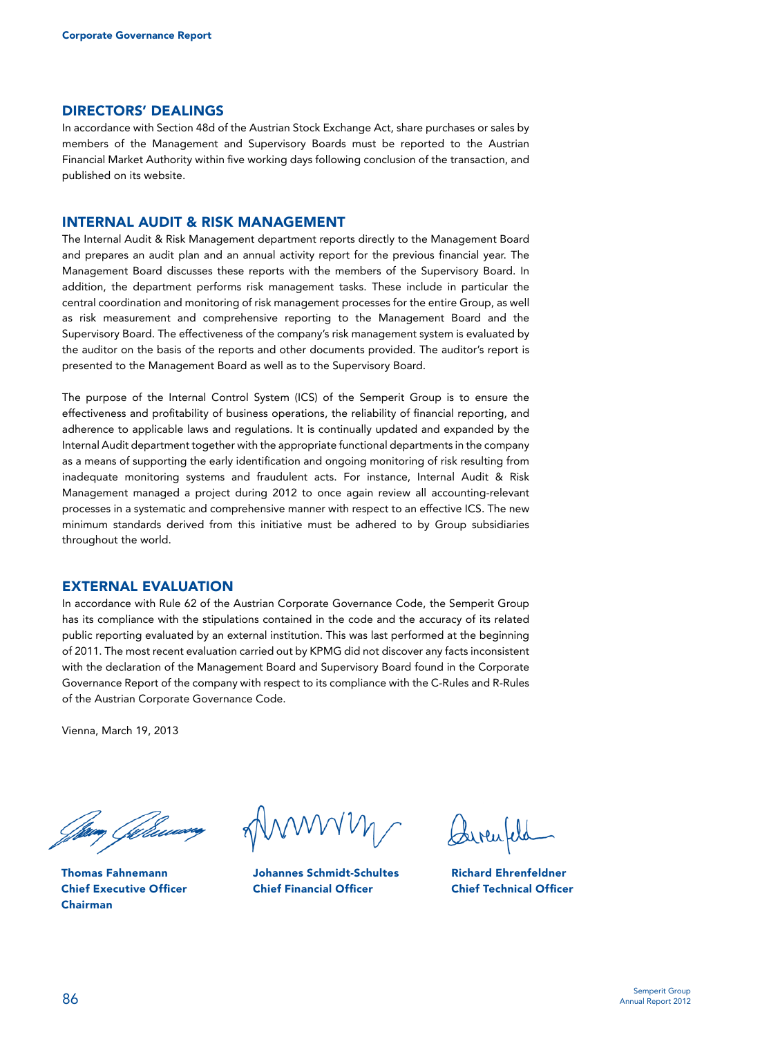#### Directors' dealings

In accordance with Section 48d of the Austrian Stock Exchange Act, share purchases or sales by members of the Management and Supervisory Boards must be reported to the Austrian Financial Market Authority within five working days following conclusion of the transaction, and published on its website.

#### Internal Audit & Risk Management

The Internal Audit & Risk Management department reports directly to the Management Board and prepares an audit plan and an annual activity report for the previous financial year. The Management Board discusses these reports with the members of the Supervisory Board. In addition, the department performs risk management tasks. These include in particular the central coordination and monitoring of risk management processes for the entire Group, as well as risk measurement and comprehensive reporting to the Management Board and the Supervisory Board. The effectiveness of the company's risk management system is evaluated by the auditor on the basis of the reports and other documents provided. The auditor's report is presented to the Management Board as well as to the Supervisory Board.

The purpose of the Internal Control System (ICS) of the Semperit Group is to ensure the effectiveness and profitability of business operations, the reliability of financial reporting, and adherence to applicable laws and regulations. It is continually updated and expanded by the Internal Audit department together with the appropriate functional departments in the company as a means of supporting the early identification and ongoing monitoring of risk resulting from inadequate monitoring systems and fraudulent acts. For instance, Internal Audit & Risk Management managed a project during 2012 to once again review all accounting-relevant processes in a systematic and comprehensive manner with respect to an effective ICS. The new minimum standards derived from this initiative must be adhered to by Group subsidiaries throughout the world.

#### External evaluation

In accordance with Rule 62 of the Austrian Corporate Governance Code, the Semperit Group has its compliance with the stipulations contained in the code and the accuracy of its related public reporting evaluated by an external institution. This was last performed at the beginning of 2011. The most recent evaluation carried out by KPMG did not discover any facts inconsistent with the declaration of the Management Board and Supervisory Board found in the Corporate Governance Report of the company with respect to its compliance with the C-Rules and R-Rules of the Austrian Corporate Governance Code.

Vienna, March 19, 2013

Thomas Fahnemann Chief Executive Officer Chairman

Johannes Schmidt-Schultes Chief Financial Officer

Richard Ehrenfeldner Chief Technical Officer